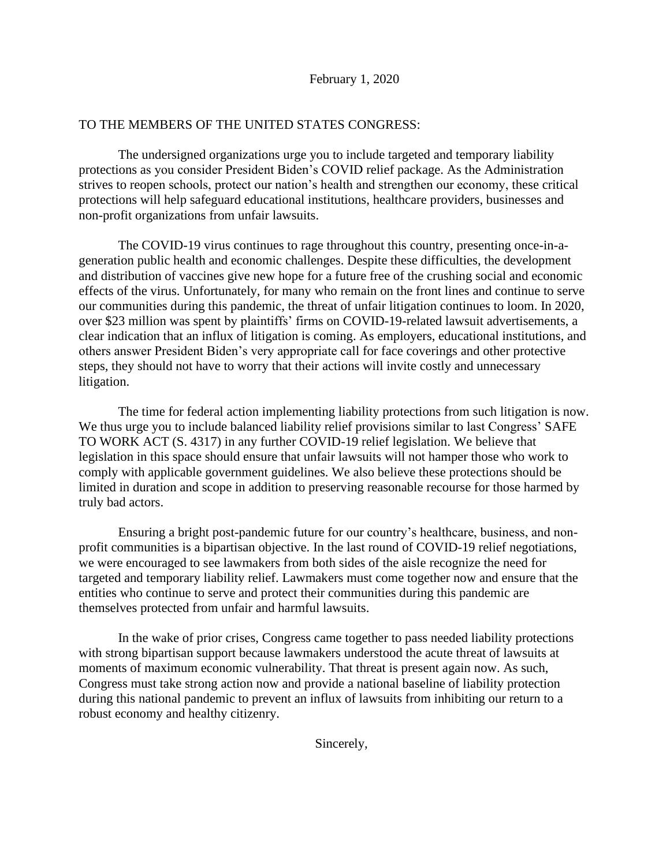## TO THE MEMBERS OF THE UNITED STATES CONGRESS:

The undersigned organizations urge you to include targeted and temporary liability protections as you consider President Biden's COVID relief package. As the Administration strives to reopen schools, protect our nation's health and strengthen our economy, these critical protections will help safeguard educational institutions, healthcare providers, businesses and non-profit organizations from unfair lawsuits.

The COVID-19 virus continues to rage throughout this country, presenting once-in-ageneration public health and economic challenges. Despite these difficulties, the development and distribution of vaccines give new hope for a future free of the crushing social and economic effects of the virus. Unfortunately, for many who remain on the front lines and continue to serve our communities during this pandemic, the threat of unfair litigation continues to loom. In 2020, over \$23 million was spent by plaintiffs' firms on COVID-19-related lawsuit advertisements, a clear indication that an influx of litigation is coming. As employers, educational institutions, and others answer President Biden's very appropriate call for face coverings and other protective steps, they should not have to worry that their actions will invite costly and unnecessary litigation.

The time for federal action implementing liability protections from such litigation is now. We thus urge you to include balanced liability relief provisions similar to last Congress' SAFE TO WORK ACT (S. 4317) in any further COVID-19 relief legislation. We believe that legislation in this space should ensure that unfair lawsuits will not hamper those who work to comply with applicable government guidelines. We also believe these protections should be limited in duration and scope in addition to preserving reasonable recourse for those harmed by truly bad actors.

Ensuring a bright post-pandemic future for our country's healthcare, business, and nonprofit communities is a bipartisan objective. In the last round of COVID-19 relief negotiations, we were encouraged to see lawmakers from both sides of the aisle recognize the need for targeted and temporary liability relief. Lawmakers must come together now and ensure that the entities who continue to serve and protect their communities during this pandemic are themselves protected from unfair and harmful lawsuits.

In the wake of prior crises, Congress came together to pass needed liability protections with strong bipartisan support because lawmakers understood the acute threat of lawsuits at moments of maximum economic vulnerability. That threat is present again now. As such, Congress must take strong action now and provide a national baseline of liability protection during this national pandemic to prevent an influx of lawsuits from inhibiting our return to a robust economy and healthy citizenry.

Sincerely,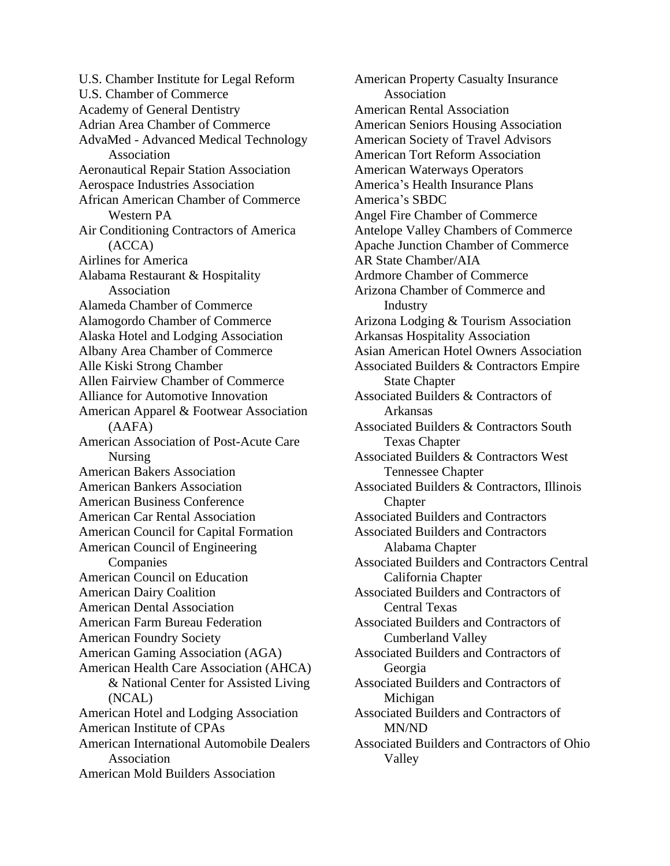U.S. Chamber Institute for Legal Reform U.S. Chamber of Commerce Academy of General Dentistry Adrian Area Chamber of Commerce AdvaMed - Advanced Medical Technology Association Aeronautical Repair Station Association Aerospace Industries Association African American Chamber of Commerce Western PA Air Conditioning Contractors of America (ACCA) Airlines for America Alabama Restaurant & Hospitality Association Alameda Chamber of Commerce Alamogordo Chamber of Commerce Alaska Hotel and Lodging Association Albany Area Chamber of Commerce Alle Kiski Strong Chamber Allen Fairview Chamber of Commerce Alliance for Automotive Innovation American Apparel & Footwear Association (AAFA) American Association of Post-Acute Care Nursing American Bakers Association American Bankers Association American Business Conference American Car Rental Association American Council for Capital Formation American Council of Engineering Companies American Council on Education American Dairy Coalition American Dental Association American Farm Bureau Federation American Foundry Society American Gaming Association (AGA) American Health Care Association (AHCA) & National Center for Assisted Living (NCAL) American Hotel and Lodging Association American Institute of CPAs American International Automobile Dealers Association American Mold Builders Association

American Property Casualty Insurance Association American Rental Association American Seniors Housing Association American Society of Travel Advisors American Tort Reform Association American Waterways Operators America's Health Insurance Plans America's SBDC Angel Fire Chamber of Commerce Antelope Valley Chambers of Commerce Apache Junction Chamber of Commerce AR State Chamber/AIA Ardmore Chamber of Commerce Arizona Chamber of Commerce and Industry Arizona Lodging & Tourism Association Arkansas Hospitality Association Asian American Hotel Owners Association Associated Builders & Contractors Empire State Chapter Associated Builders & Contractors of Arkansas Associated Builders & Contractors South Texas Chapter Associated Builders & Contractors West Tennessee Chapter Associated Builders & Contractors, Illinois **Chapter** Associated Builders and Contractors Associated Builders and Contractors Alabama Chapter Associated Builders and Contractors Central California Chapter Associated Builders and Contractors of Central Texas Associated Builders and Contractors of Cumberland Valley Associated Builders and Contractors of Georgia Associated Builders and Contractors of Michigan Associated Builders and Contractors of MN/ND Associated Builders and Contractors of Ohio Valley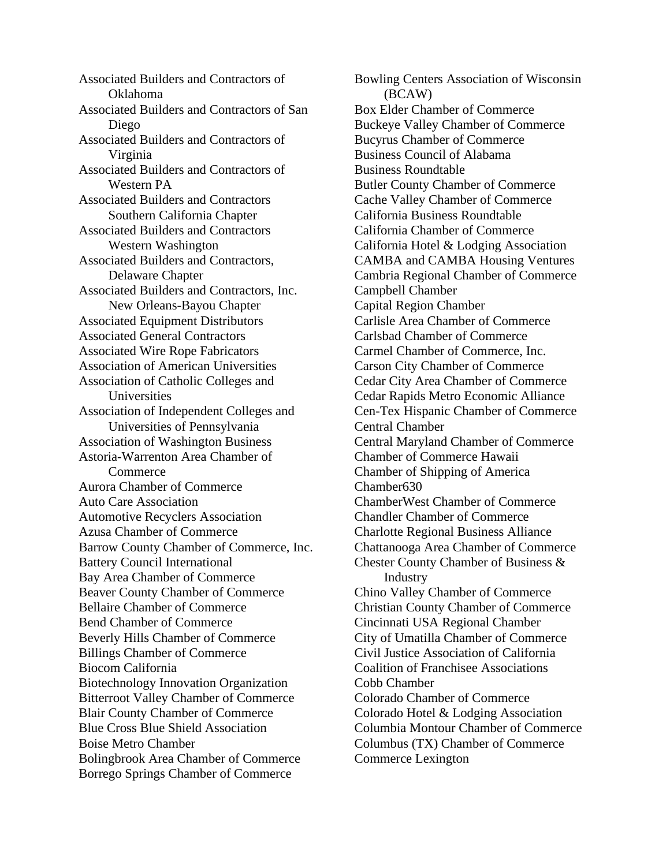Associated Builders and Contractors of Oklahoma Associated Builders and Contractors of San Diego Associated Builders and Contractors of Virginia Associated Builders and Contractors of Western PA Associated Builders and Contractors Southern California Chapter Associated Builders and Contractors Western Washington Associated Builders and Contractors, Delaware Chapter Associated Builders and Contractors, Inc. New Orleans-Bayou Chapter Associated Equipment Distributors Associated General Contractors Associated Wire Rope Fabricators Association of American Universities Association of Catholic Colleges and **Universities** Association of Independent Colleges and Universities of Pennsylvania Association of Washington Business Astoria-Warrenton Area Chamber of **Commerce** Aurora Chamber of Commerce Auto Care Association Automotive Recyclers Association Azusa Chamber of Commerce Barrow County Chamber of Commerce, Inc. Battery Council International Bay Area Chamber of Commerce Beaver County Chamber of Commerce Bellaire Chamber of Commerce Bend Chamber of Commerce Beverly Hills Chamber of Commerce Billings Chamber of Commerce Biocom California Biotechnology Innovation Organization Bitterroot Valley Chamber of Commerce Blair County Chamber of Commerce Blue Cross Blue Shield Association Boise Metro Chamber Bolingbrook Area Chamber of Commerce Borrego Springs Chamber of Commerce

Bowling Centers Association of Wisconsin (BCAW) Box Elder Chamber of Commerce Buckeye Valley Chamber of Commerce Bucyrus Chamber of Commerce Business Council of Alabama Business Roundtable Butler County Chamber of Commerce Cache Valley Chamber of Commerce California Business Roundtable California Chamber of Commerce California Hotel & Lodging Association CAMBA and CAMBA Housing Ventures Cambria Regional Chamber of Commerce Campbell Chamber Capital Region Chamber Carlisle Area Chamber of Commerce Carlsbad Chamber of Commerce Carmel Chamber of Commerce, Inc. Carson City Chamber of Commerce Cedar City Area Chamber of Commerce Cedar Rapids Metro Economic Alliance Cen-Tex Hispanic Chamber of Commerce Central Chamber Central Maryland Chamber of Commerce Chamber of Commerce Hawaii Chamber of Shipping of America Chamber630 ChamberWest Chamber of Commerce Chandler Chamber of Commerce Charlotte Regional Business Alliance Chattanooga Area Chamber of Commerce Chester County Chamber of Business & Industry Chino Valley Chamber of Commerce Christian County Chamber of Commerce Cincinnati USA Regional Chamber City of Umatilla Chamber of Commerce Civil Justice Association of California Coalition of Franchisee Associations Cobb Chamber Colorado Chamber of Commerce Colorado Hotel & Lodging Association Columbia Montour Chamber of Commerce Columbus (TX) Chamber of Commerce Commerce Lexington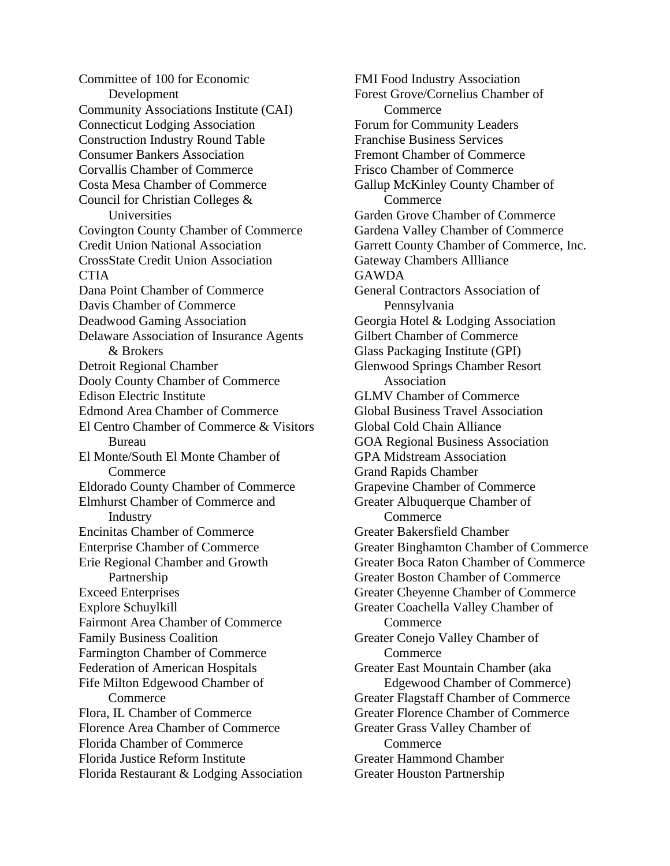Committee of 100 for Economic Development Community Associations Institute (CAI) Connecticut Lodging Association Construction Industry Round Table Consumer Bankers Association Corvallis Chamber of Commerce Costa Mesa Chamber of Commerce Council for Christian Colleges & Universities Covington County Chamber of Commerce Credit Union National Association CrossState Credit Union Association **CTIA** Dana Point Chamber of Commerce Davis Chamber of Commerce Deadwood Gaming Association Delaware Association of Insurance Agents & Brokers Detroit Regional Chamber Dooly County Chamber of Commerce Edison Electric Institute Edmond Area Chamber of Commerce El Centro Chamber of Commerce & Visitors Bureau El Monte/South El Monte Chamber of Commerce Eldorado County Chamber of Commerce Elmhurst Chamber of Commerce and Industry Encinitas Chamber of Commerce Enterprise Chamber of Commerce Erie Regional Chamber and Growth Partnership Exceed Enterprises Explore Schuylkill Fairmont Area Chamber of Commerce Family Business Coalition Farmington Chamber of Commerce Federation of American Hospitals Fife Milton Edgewood Chamber of **Commerce** Flora, IL Chamber of Commerce Florence Area Chamber of Commerce Florida Chamber of Commerce Florida Justice Reform Institute Florida Restaurant & Lodging Association

FMI Food Industry Association Forest Grove/Cornelius Chamber of **Commerce** Forum for Community Leaders Franchise Business Services Fremont Chamber of Commerce Frisco Chamber of Commerce Gallup McKinley County Chamber of Commerce Garden Grove Chamber of Commerce Gardena Valley Chamber of Commerce Garrett County Chamber of Commerce, Inc. Gateway Chambers Allliance **GAWDA** General Contractors Association of Pennsylvania Georgia Hotel & Lodging Association Gilbert Chamber of Commerce Glass Packaging Institute (GPI) Glenwood Springs Chamber Resort Association GLMV Chamber of Commerce Global Business Travel Association Global Cold Chain Alliance GOA Regional Business Association GPA Midstream Association Grand Rapids Chamber Grapevine Chamber of Commerce Greater Albuquerque Chamber of **Commerce** Greater Bakersfield Chamber Greater Binghamton Chamber of Commerce Greater Boca Raton Chamber of Commerce Greater Boston Chamber of Commerce Greater Cheyenne Chamber of Commerce Greater Coachella Valley Chamber of **Commerce** Greater Conejo Valley Chamber of **Commerce** Greater East Mountain Chamber (aka Edgewood Chamber of Commerce) Greater Flagstaff Chamber of Commerce Greater Florence Chamber of Commerce Greater Grass Valley Chamber of **Commerce** Greater Hammond Chamber Greater Houston Partnership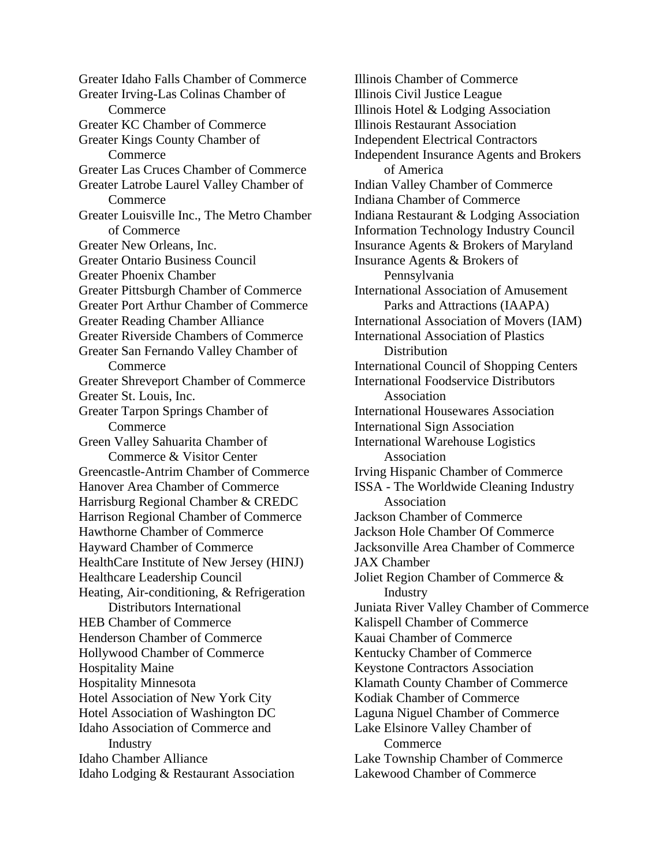Greater Idaho Falls Chamber of Commerce Greater Irving-Las Colinas Chamber of **Commerce** Greater KC Chamber of Commerce Greater Kings County Chamber of **Commerce** Greater Las Cruces Chamber of Commerce Greater Latrobe Laurel Valley Chamber of Commerce Greater Louisville Inc., The Metro Chamber of Commerce Greater New Orleans, Inc. Greater Ontario Business Council Greater Phoenix Chamber Greater Pittsburgh Chamber of Commerce Greater Port Arthur Chamber of Commerce Greater Reading Chamber Alliance Greater Riverside Chambers of Commerce Greater San Fernando Valley Chamber of **Commerce** Greater Shreveport Chamber of Commerce Greater St. Louis, Inc. Greater Tarpon Springs Chamber of Commerce Green Valley Sahuarita Chamber of Commerce & Visitor Center Greencastle-Antrim Chamber of Commerce Hanover Area Chamber of Commerce Harrisburg Regional Chamber & CREDC Harrison Regional Chamber of Commerce Hawthorne Chamber of Commerce Hayward Chamber of Commerce HealthCare Institute of New Jersey (HINJ) Healthcare Leadership Council Heating, Air-conditioning, & Refrigeration Distributors International HEB Chamber of Commerce Henderson Chamber of Commerce Hollywood Chamber of Commerce Hospitality Maine Hospitality Minnesota Hotel Association of New York City Hotel Association of Washington DC Idaho Association of Commerce and Industry Idaho Chamber Alliance Idaho Lodging & Restaurant Association

Illinois Chamber of Commerce Illinois Civil Justice League Illinois Hotel & Lodging Association Illinois Restaurant Association Independent Electrical Contractors Independent Insurance Agents and Brokers of America Indian Valley Chamber of Commerce Indiana Chamber of Commerce Indiana Restaurant & Lodging Association Information Technology Industry Council Insurance Agents & Brokers of Maryland Insurance Agents & Brokers of Pennsylvania International Association of Amusement Parks and Attractions (IAAPA) International Association of Movers (IAM) International Association of Plastics **Distribution** International Council of Shopping Centers International Foodservice Distributors Association International Housewares Association International Sign Association International Warehouse Logistics Association Irving Hispanic Chamber of Commerce ISSA - The Worldwide Cleaning Industry Association Jackson Chamber of Commerce Jackson Hole Chamber Of Commerce Jacksonville Area Chamber of Commerce JAX Chamber Joliet Region Chamber of Commerce & **Industry** Juniata River Valley Chamber of Commerce Kalispell Chamber of Commerce Kauai Chamber of Commerce Kentucky Chamber of Commerce Keystone Contractors Association Klamath County Chamber of Commerce Kodiak Chamber of Commerce Laguna Niguel Chamber of Commerce Lake Elsinore Valley Chamber of **Commerce** Lake Township Chamber of Commerce Lakewood Chamber of Commerce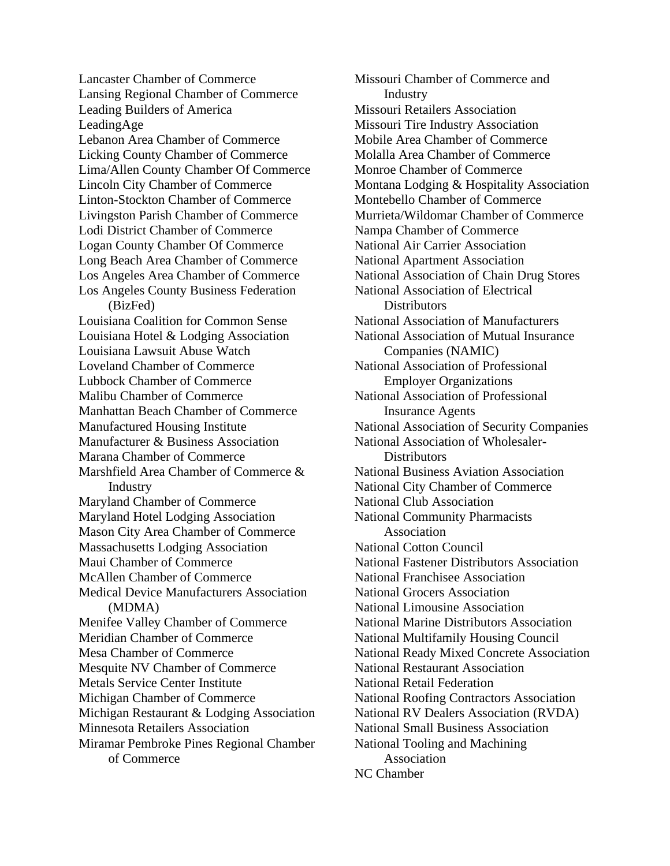Lancaster Chamber of Commerce Lansing Regional Chamber of Commerce Leading Builders of America LeadingAge Lebanon Area Chamber of Commerce Licking County Chamber of Commerce Lima/Allen County Chamber Of Commerce Lincoln City Chamber of Commerce Linton-Stockton Chamber of Commerce Livingston Parish Chamber of Commerce Lodi District Chamber of Commerce Logan County Chamber Of Commerce Long Beach Area Chamber of Commerce Los Angeles Area Chamber of Commerce Los Angeles County Business Federation (BizFed) Louisiana Coalition for Common Sense Louisiana Hotel & Lodging Association Louisiana Lawsuit Abuse Watch Loveland Chamber of Commerce Lubbock Chamber of Commerce Malibu Chamber of Commerce Manhattan Beach Chamber of Commerce Manufactured Housing Institute Manufacturer & Business Association Marana Chamber of Commerce Marshfield Area Chamber of Commerce & Industry Maryland Chamber of Commerce Maryland Hotel Lodging Association Mason City Area Chamber of Commerce Massachusetts Lodging Association Maui Chamber of Commerce McAllen Chamber of Commerce Medical Device Manufacturers Association (MDMA) Menifee Valley Chamber of Commerce Meridian Chamber of Commerce Mesa Chamber of Commerce Mesquite NV Chamber of Commerce Metals Service Center Institute Michigan Chamber of Commerce Michigan Restaurant & Lodging Association Minnesota Retailers Association Miramar Pembroke Pines Regional Chamber of Commerce

Missouri Chamber of Commerce and Industry Missouri Retailers Association Missouri Tire Industry Association Mobile Area Chamber of Commerce Molalla Area Chamber of Commerce Monroe Chamber of Commerce Montana Lodging & Hospitality Association Montebello Chamber of Commerce Murrieta/Wildomar Chamber of Commerce Nampa Chamber of Commerce National Air Carrier Association National Apartment Association National Association of Chain Drug Stores National Association of Electrical **Distributors** National Association of Manufacturers National Association of Mutual Insurance Companies (NAMIC) National Association of Professional Employer Organizations National Association of Professional Insurance Agents National Association of Security Companies National Association of Wholesaler-**Distributors** National Business Aviation Association National City Chamber of Commerce National Club Association National Community Pharmacists Association National Cotton Council National Fastener Distributors Association National Franchisee Association National Grocers Association National Limousine Association National Marine Distributors Association National Multifamily Housing Council National Ready Mixed Concrete Association National Restaurant Association National Retail Federation National Roofing Contractors Association National RV Dealers Association (RVDA) National Small Business Association National Tooling and Machining Association NC Chamber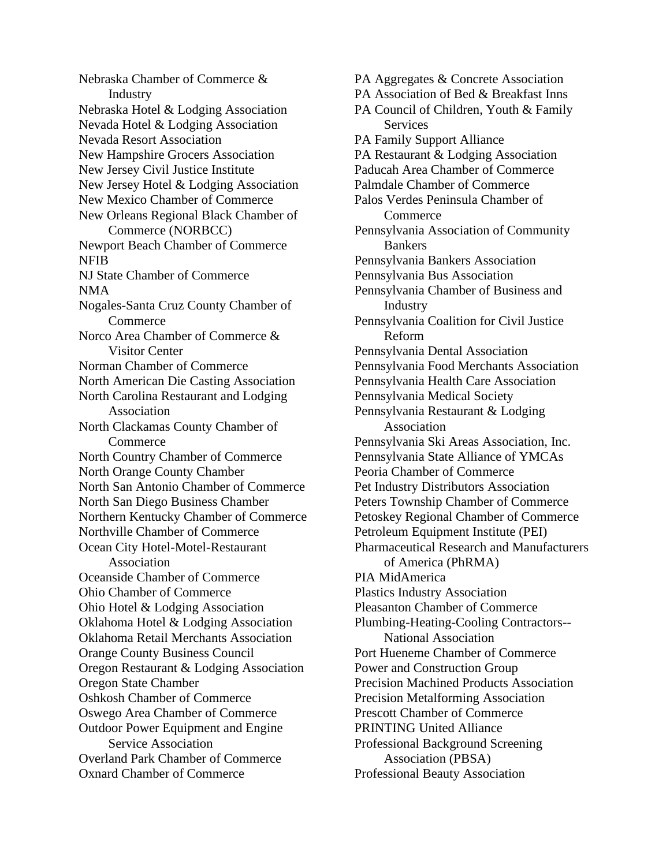Nebraska Chamber of Commerce & Industry Nebraska Hotel & Lodging Association Nevada Hotel & Lodging Association Nevada Resort Association New Hampshire Grocers Association New Jersey Civil Justice Institute New Jersey Hotel & Lodging Association New Mexico Chamber of Commerce New Orleans Regional Black Chamber of Commerce (NORBCC) Newport Beach Chamber of Commerce NFIB NJ State Chamber of Commerce NMA Nogales-Santa Cruz County Chamber of **Commerce** Norco Area Chamber of Commerce & Visitor Center Norman Chamber of Commerce North American Die Casting Association North Carolina Restaurant and Lodging Association North Clackamas County Chamber of Commerce North Country Chamber of Commerce North Orange County Chamber North San Antonio Chamber of Commerce North San Diego Business Chamber Northern Kentucky Chamber of Commerce Northville Chamber of Commerce Ocean City Hotel-Motel-Restaurant Association Oceanside Chamber of Commerce Ohio Chamber of Commerce Ohio Hotel & Lodging Association Oklahoma Hotel & Lodging Association Oklahoma Retail Merchants Association Orange County Business Council Oregon Restaurant & Lodging Association Oregon State Chamber Oshkosh Chamber of Commerce Oswego Area Chamber of Commerce Outdoor Power Equipment and Engine Service Association Overland Park Chamber of Commerce Oxnard Chamber of Commerce

PA Aggregates & Concrete Association PA Association of Bed & Breakfast Inns PA Council of Children, Youth & Family Services PA Family Support Alliance PA Restaurant & Lodging Association Paducah Area Chamber of Commerce Palmdale Chamber of Commerce Palos Verdes Peninsula Chamber of **Commerce** Pennsylvania Association of Community Bankers Pennsylvania Bankers Association Pennsylvania Bus Association Pennsylvania Chamber of Business and Industry Pennsylvania Coalition for Civil Justice Reform Pennsylvania Dental Association Pennsylvania Food Merchants Association Pennsylvania Health Care Association Pennsylvania Medical Society Pennsylvania Restaurant & Lodging Association Pennsylvania Ski Areas Association, Inc. Pennsylvania State Alliance of YMCAs Peoria Chamber of Commerce Pet Industry Distributors Association Peters Township Chamber of Commerce Petoskey Regional Chamber of Commerce Petroleum Equipment Institute (PEI) Pharmaceutical Research and Manufacturers of America (PhRMA) PIA MidAmerica Plastics Industry Association Pleasanton Chamber of Commerce Plumbing-Heating-Cooling Contractors-- National Association Port Hueneme Chamber of Commerce Power and Construction Group Precision Machined Products Association Precision Metalforming Association Prescott Chamber of Commerce PRINTING United Alliance Professional Background Screening Association (PBSA) Professional Beauty Association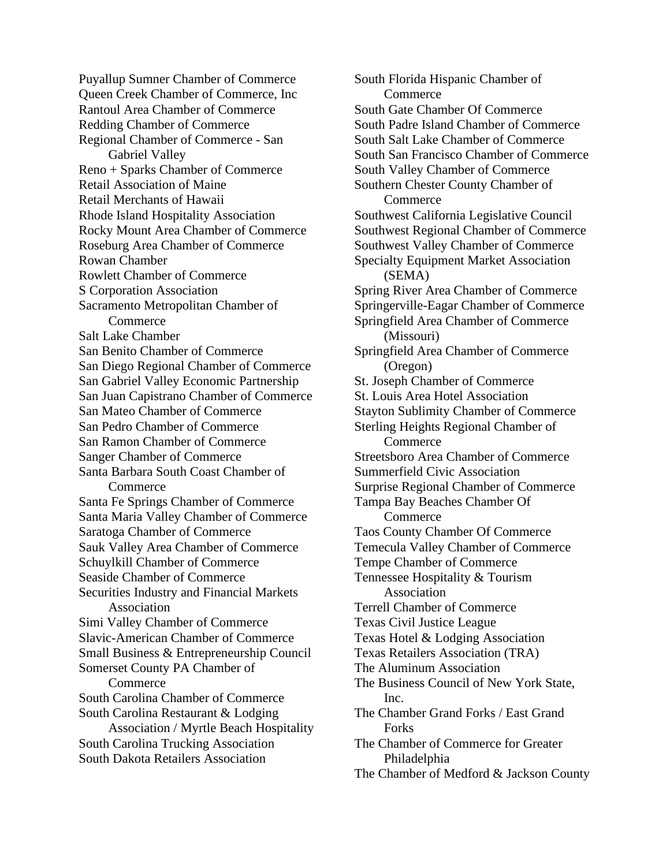Puyallup Sumner Chamber of Commerce Queen Creek Chamber of Commerce, Inc Rantoul Area Chamber of Commerce Redding Chamber of Commerce Regional Chamber of Commerce - San Gabriel Valley Reno + Sparks Chamber of Commerce Retail Association of Maine Retail Merchants of Hawaii Rhode Island Hospitality Association Rocky Mount Area Chamber of Commerce Roseburg Area Chamber of Commerce Rowan Chamber Rowlett Chamber of Commerce S Corporation Association Sacramento Metropolitan Chamber of **Commerce** Salt Lake Chamber San Benito Chamber of Commerce San Diego Regional Chamber of Commerce San Gabriel Valley Economic Partnership San Juan Capistrano Chamber of Commerce San Mateo Chamber of Commerce San Pedro Chamber of Commerce San Ramon Chamber of Commerce Sanger Chamber of Commerce Santa Barbara South Coast Chamber of **Commerce** Santa Fe Springs Chamber of Commerce Santa Maria Valley Chamber of Commerce Saratoga Chamber of Commerce Sauk Valley Area Chamber of Commerce Schuylkill Chamber of Commerce Seaside Chamber of Commerce Securities Industry and Financial Markets Association Simi Valley Chamber of Commerce Slavic-American Chamber of Commerce Small Business & Entrepreneurship Council Somerset County PA Chamber of Commerce South Carolina Chamber of Commerce South Carolina Restaurant & Lodging Association / Myrtle Beach Hospitality South Carolina Trucking Association South Dakota Retailers Association

South Florida Hispanic Chamber of **Commerce** South Gate Chamber Of Commerce South Padre Island Chamber of Commerce South Salt Lake Chamber of Commerce South San Francisco Chamber of Commerce South Valley Chamber of Commerce Southern Chester County Chamber of **Commerce** Southwest California Legislative Council Southwest Regional Chamber of Commerce Southwest Valley Chamber of Commerce Specialty Equipment Market Association (SEMA) Spring River Area Chamber of Commerce Springerville-Eagar Chamber of Commerce Springfield Area Chamber of Commerce (Missouri) Springfield Area Chamber of Commerce (Oregon) St. Joseph Chamber of Commerce St. Louis Area Hotel Association Stayton Sublimity Chamber of Commerce Sterling Heights Regional Chamber of **Commerce** Streetsboro Area Chamber of Commerce Summerfield Civic Association Surprise Regional Chamber of Commerce Tampa Bay Beaches Chamber Of **Commerce** Taos County Chamber Of Commerce Temecula Valley Chamber of Commerce Tempe Chamber of Commerce Tennessee Hospitality & Tourism Association Terrell Chamber of Commerce Texas Civil Justice League Texas Hotel & Lodging Association Texas Retailers Association (TRA) The Aluminum Association The Business Council of New York State, Inc. The Chamber Grand Forks / East Grand **Forks** The Chamber of Commerce for Greater Philadelphia The Chamber of Medford & Jackson County